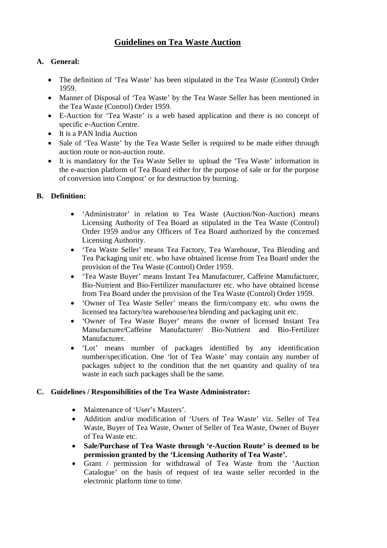# **Guidelines on Tea Waste Auction**

# **A. General:**

- The definition of 'Tea Waste' has been stipulated in the Tea Waste (Control) Order 1959.
- Manner of Disposal of 'Tea Waste' by the Tea Waste Seller has been mentioned in the Tea Waste (Control) Order 1959.
- E-Auction for 'Tea Waste' is a web based application and there is no concept of specific e-Auction Centre.
- It is a PAN India Auction
- Sale of 'Tea Waste' by the Tea Waste Seller is required to be made either through auction route or non-auction route.
- It is mandatory for the Tea Waste Seller to upload the 'Tea Waste' information in the e-auction platform of Tea Board either for the purpose of sale or for the purpose of conversion into Compost' or for destruction by burning.

# **B. Definition:**

- 'Administrator' in relation to Tea Waste (Auction/Non-Auction) means Licensing Authority of Tea Board as stipulated in the Tea Waste (Control) Order 1959 and/or any Officers of Tea Board authorized by the concerned Licensing Authority.
- 'Tea Waste Seller' means Tea Factory, Tea Warehouse, Tea Blending and Tea Packaging unit etc. who have obtained license from Tea Board under the provision of the Tea Waste (Control) Order 1959.
- 'Tea Waste Buyer' means Instant Tea Manufacturer, Caffeine Manufacturer, Bio-Nutrient and Bio-Fertilizer manufacturer etc. who have obtained license from Tea Board under the provision of the Tea Waste (Control) Order 1959.
- 'Owner of Tea Waste Seller' means the firm/company etc. who owns the licensed tea factory/tea warehouse/tea blending and packaging unit etc.
- 'Owner of Tea Waste Buyer' means the owner of licensed Instant Tea Manufacturer/Caffeine Manufacturer/ Bio-Nutrient and Bio-Fertilizer Manufacturer.
- 'Lot' means number of packages identified by any identification number/specification. One 'lot of Tea Waste' may contain any number of packages subject to the condition that the net quantity and quality of tea waste in each such packages shall be the same.

## **C. Guidelines / Responsibilities of the Tea Waste Administrator:**

- Maintenance of 'User's Masters'.
- Addition and/or modification of 'Users of Tea Waste' viz. Seller of Tea Waste, Buyer of Tea Waste, Owner of Seller of Tea Waste, Owner of Buyer of Tea Waste etc.
- **Sale/Purchase of Tea Waste through 'e-Auction Route' is deemed to be permission granted by the 'Licensing Authority of Tea Waste'.**
- Grant / permission for withdrawal of Tea Waste from the 'Auction Catalogue' on the basis of request of tea waste seller recorded in the electronic platform time to time.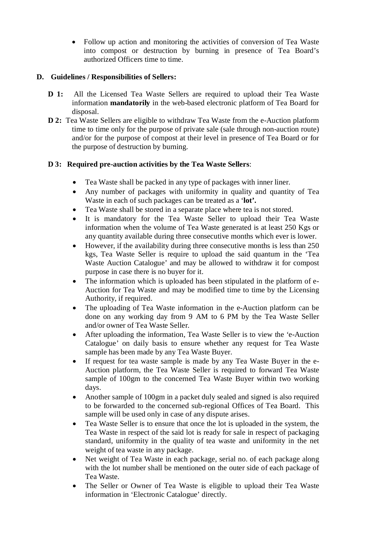Follow up action and monitoring the activities of conversion of Tea Waste into compost or destruction by burning in presence of Tea Board's authorized Officers time to time.

## **D. Guidelines / Responsibilities of Sellers:**

- **D 1:** All the Licensed Tea Waste Sellers are required to upload their Tea Waste information **mandatorily** in the web-based electronic platform of Tea Board for disposal.
- **D 2:** Tea Waste Sellers are eligible to withdraw Tea Waste from the e-Auction platform time to time only for the purpose of private sale (sale through non-auction route) and/or for the purpose of compost at their level in presence of Tea Board or for the purpose of destruction by burning.

#### **D 3: Required pre-auction activities by the Tea Waste Sellers**:

- Tea Waste shall be packed in any type of packages with inner liner.
- Any number of packages with uniformity in quality and quantity of Tea Waste in each of such packages can be treated as a '**lot'.**
- Tea Waste shall be stored in a separate place where tea is not stored.
- It is mandatory for the Tea Waste Seller to upload their Tea Waste information when the volume of Tea Waste generated is at least 250 Kgs or any quantity available during three consecutive months which ever is lower.
- However, if the availability during three consecutive months is less than 250 kgs, Tea Waste Seller is require to upload the said quantum in the 'Tea Waste Auction Catalogue' and may be allowed to withdraw it for compost purpose in case there is no buyer for it.
- The information which is uploaded has been stipulated in the platform of e-Auction for Tea Waste and may be modified time to time by the Licensing Authority, if required.
- The uploading of Tea Waste information in the e-Auction platform can be done on any working day from 9 AM to 6 PM by the Tea Waste Seller and/or owner of Tea Waste Seller.
- After uploading the information, Tea Waste Seller is to view the 'e-Auction Catalogue' on daily basis to ensure whether any request for Tea Waste sample has been made by any Tea Waste Buyer.
- If request for tea waste sample is made by any Tea Waste Buyer in the e-Auction platform, the Tea Waste Seller is required to forward Tea Waste sample of 100gm to the concerned Tea Waste Buyer within two working days.
- Another sample of 100gm in a packet duly sealed and signed is also required to be forwarded to the concerned sub-regional Offices of Tea Board. This sample will be used only in case of any dispute arises.
- Tea Waste Seller is to ensure that once the lot is uploaded in the system, the Tea Waste in respect of the said lot is ready for sale in respect of packaging standard, uniformity in the quality of tea waste and uniformity in the net weight of tea waste in any package.
- Net weight of Tea Waste in each package, serial no. of each package along with the lot number shall be mentioned on the outer side of each package of Tea Waste.
- The Seller or Owner of Tea Waste is eligible to upload their Tea Waste information in 'Electronic Catalogue' directly.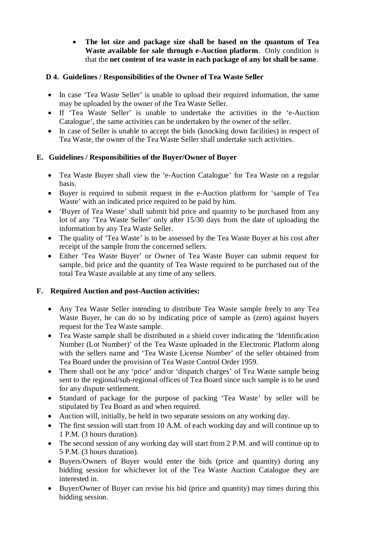**The lot size and package size shall be based on the quantum of Tea Waste available for sale through e-Auction platform**. Only condition is that the **net content of tea waste in each package of any lot shall be same**.

### **D 4. Guidelines / Responsibilities of the Owner of Tea Waste Seller**

- In case 'Tea Waste Seller' is unable to upload their required information, the same may be uploaded by the owner of the Tea Waste Seller.
- If 'Tea Waste Seller' is unable to undertake the activities in the 'e-Auction Catalogue', the same activities can be undertaken by the owner of the seller.
- In case of Seller is unable to accept the bids (knocking down facilities) in respect of Tea Waste, the owner of the Tea Waste Seller shall undertake such activities.

## **E. Guidelines / Responsibilities of the Buyer/Owner of Buyer**

- Tea Waste Buyer shall view the 'e-Auction Catalogue' for Tea Waste on a regular basis.
- Buyer is required to submit request in the e-Auction platform for 'sample of Tea Waste' with an indicated price required to be paid by him.
- 'Buyer of Tea Waste' shall submit bid price and quantity to be purchased from any lot of any 'Tea Waste Seller' only after 15/30 days from the date of uploading the information by any Tea Waste Seller.
- The quality of 'Tea Waste' is to be assessed by the Tea Waste Buyer at his cost after receipt of the sample from the concerned sellers.
- Either 'Tea Waste Buyer' or Owner of Tea Waste Buyer can submit request for sample, bid price and the quantity of Tea Waste required to be purchased out of the total Tea Waste available at any time of any sellers.

## **F. Required Auction and post-Auction activities:**

- Any Tea Waste Seller intending to distribute Tea Waste sample freely to any Tea Waste Buyer, he can do so by indicating price of sample as (zero) against buyers request for the Tea Waste sample.
- Tea Waste sample shall be distributed in a shield cover indicating the 'Identification Number (Lot Number)' of the Tea Waste uploaded in the Electronic Platform along with the sellers name and 'Tea Waste License Number' of the seller obtained from Tea Board under the provision of Tea Waste Control Order 1959.
- There shall not be any 'price' and/or 'dispatch charges' of Tea Waste sample being sent to the regional/sub-regional offices of Tea Board since such sample is to be used for any dispute settlement.
- Standard of package for the purpose of packing 'Tea Waste' by seller will be stipulated by Tea Board as and when required.
- Auction will, initially, be held in two separate sessions on any working day.
- The first session will start from 10 A.M. of each working day and will continue up to 1 P.M. (3 hours duration).
- The second session of any working day will start from 2 P.M. and will continue up to 5 P.M. (3 hours duration).
- Buyers/Owners of Buyer would enter the bids (price and quantity) during any bidding session for whichever lot of the Tea Waste Auction Catalogue they are interested in.
- Buyer/Owner of Buyer can revise his bid (price and quantity) may times during this bidding session.